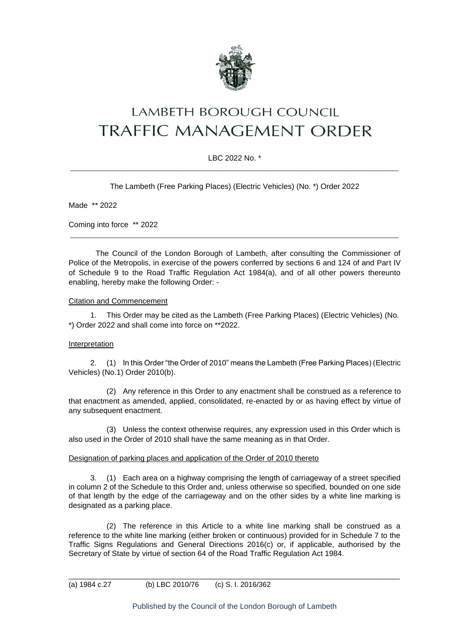

# **LAMBETH BOROUGH COUNCIL** TRAFFIC MANAGEMENT ORDER

## LBC 2022 No. \* \_\_\_\_\_\_\_\_\_\_\_\_\_\_\_\_\_\_\_\_\_\_\_\_\_\_\_\_\_\_\_\_\_\_\_\_\_\_\_\_\_\_\_\_\_\_\_\_\_\_\_\_\_\_\_\_\_\_\_\_\_\_\_\_\_\_\_\_\_\_\_\_\_\_\_\_\_\_\_\_\_\_\_\_\_\_

The Lambeth (Free Parking Places) (Electric Vehicles) (No. \*) Order 2022

Made \*\* 2022

Coming into force \*\* 2022

The Council of the London Borough of Lambeth, after consulting the Commissioner of Police of the Metropolis, in exercise of the powers conferred by sections 6 and 124 of and Part IV of Schedule 9 to the Road Traffic Regulation Act 1984(a), and of all other powers thereunto enabling, hereby make the following Order: -

\_\_\_\_\_\_\_\_\_\_\_\_\_\_\_\_\_\_\_\_\_\_\_\_\_\_\_\_\_\_\_\_\_\_\_\_\_\_\_\_\_\_\_\_\_\_\_\_\_\_\_\_\_\_\_\_\_\_\_\_\_\_\_\_\_\_\_\_\_\_\_\_\_\_\_\_\_\_\_\_\_\_\_\_\_\_

#### Citation and Commencement

1. This Order may be cited as the Lambeth (Free Parking Places) (Electric Vehicles) (No. \*) Order 2022 and shall come into force on \*\*2022.

## Interpretation

2. (1) In this Order "the Order of 2010" means the Lambeth (Free Parking Places) (Electric Vehicles) (No.1) Order 2010(b).

(2) Any reference in this Order to any enactment shall be construed as a reference to that enactment as amended, applied, consolidated, re-enacted by or as having effect by virtue of any subsequent enactment.

(3) Unless the context otherwise requires, any expression used in this Order which is also used in the Order of 2010 shall have the same meaning as in that Order.

#### Designation of parking places and application of the Order of 2010 thereto

3. (1) Each area on a highway comprising the length of carriageway of a street specified in column 2 of the Schedule to this Order and, unless otherwise so specified, bounded on one side of that length by the edge of the carriageway and on the other sides by a white line marking is designated as a parking place.

(2) The reference in this Article to a white line marking shall be construed as a reference to the white line marking (either broken or continuous) provided for in Schedule 7 to the Traffic Signs Regulations and General Directions 2016(c) or, if applicable, authorised by the Secretary of State by virtue of section 64 of the Road Traffic Regulation Act 1984.

\_\_\_\_\_\_\_\_\_\_\_\_\_\_\_\_\_\_\_\_\_\_\_\_\_\_\_\_\_\_\_\_\_\_\_\_\_\_\_\_\_\_\_\_\_\_\_\_\_\_\_\_\_\_\_\_\_\_\_\_\_\_\_\_\_\_\_\_\_\_\_\_\_\_\_\_\_\_\_\_\_\_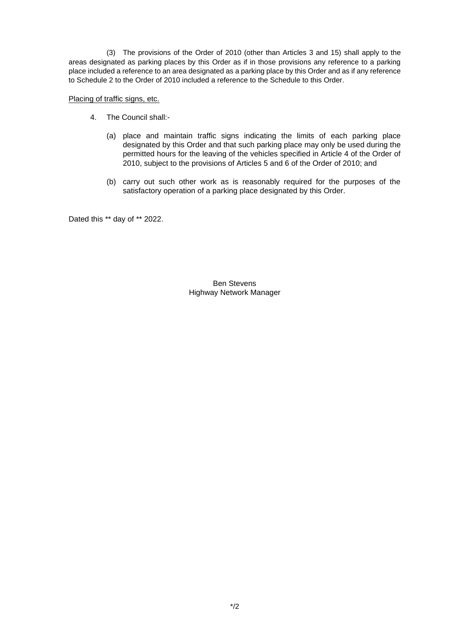(3) The provisions of the Order of 2010 (other than Articles 3 and 15) shall apply to the areas designated as parking places by this Order as if in those provisions any reference to a parking place included a reference to an area designated as a parking place by this Order and as if any reference to Schedule 2 to the Order of 2010 included a reference to the Schedule to this Order.

### Placing of traffic signs, etc.

- 4. The Council shall:-
	- (a) place and maintain traffic signs indicating the limits of each parking place designated by this Order and that such parking place may only be used during the permitted hours for the leaving of the vehicles specified in Article 4 of the Order of 2010, subject to the provisions of Articles 5 and 6 of the Order of 2010; and
	- (b) carry out such other work as is reasonably required for the purposes of the satisfactory operation of a parking place designated by this Order.

Dated this \*\* day of \*\* 2022.

Ben Stevens Highway Network Manager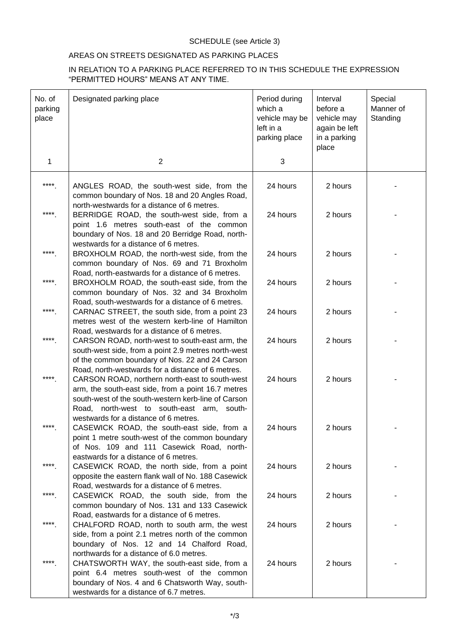# SCHEDULE (see Article 3)

# AREAS ON STREETS DESIGNATED AS PARKING PLACES

## IN RELATION TO A PARKING PLACE REFERRED TO IN THIS SCHEDULE THE EXPRESSION "PERMITTED HOURS" MEANS AT ANY TIME.

| No. of<br>parking<br>place | Designated parking place                                                                                                                                                                                                                                       | Period during<br>which a<br>vehicle may be<br>left in a<br>parking place | Interval<br>before a<br>vehicle may<br>again be left<br>in a parking<br>place | Special<br>Manner of<br>Standing |
|----------------------------|----------------------------------------------------------------------------------------------------------------------------------------------------------------------------------------------------------------------------------------------------------------|--------------------------------------------------------------------------|-------------------------------------------------------------------------------|----------------------------------|
| $\mathbf{1}$               | 2                                                                                                                                                                                                                                                              | 3                                                                        |                                                                               |                                  |
| $***$                      | ANGLES ROAD, the south-west side, from the<br>common boundary of Nos. 18 and 20 Angles Road,                                                                                                                                                                   | 24 hours                                                                 | 2 hours                                                                       |                                  |
| ****                       | north-westwards for a distance of 6 metres.<br>BERRIDGE ROAD, the south-west side, from a<br>point 1.6 metres south-east of the common<br>boundary of Nos. 18 and 20 Berridge Road, north-<br>westwards for a distance of 6 metres.                            | 24 hours                                                                 | 2 hours                                                                       |                                  |
| ****                       | BROXHOLM ROAD, the north-west side, from the<br>common boundary of Nos. 69 and 71 Broxholm<br>Road, north-eastwards for a distance of 6 metres.                                                                                                                | 24 hours                                                                 | 2 hours                                                                       |                                  |
| $****$                     | BROXHOLM ROAD, the south-east side, from the<br>common boundary of Nos. 32 and 34 Broxholm<br>Road, south-westwards for a distance of 6 metres.                                                                                                                | 24 hours                                                                 | 2 hours                                                                       |                                  |
| ****                       | CARNAC STREET, the south side, from a point 23<br>metres west of the western kerb-line of Hamilton<br>Road, westwards for a distance of 6 metres.                                                                                                              | 24 hours                                                                 | 2 hours                                                                       |                                  |
| $***$                      | CARSON ROAD, north-west to south-east arm, the<br>south-west side, from a point 2.9 metres north-west<br>of the common boundary of Nos. 22 and 24 Carson                                                                                                       | 24 hours                                                                 | 2 hours                                                                       |                                  |
| ****                       | Road, north-westwards for a distance of 6 metres.<br>CARSON ROAD, northern north-east to south-west<br>arm, the south-east side, from a point 16.7 metres<br>south-west of the south-western kerb-line of Carson<br>Road, north-west to south-east arm, south- | 24 hours                                                                 | 2 hours                                                                       |                                  |
| ****                       | westwards for a distance of 6 metres.<br>CASEWICK ROAD, the south-east side, from a<br>point 1 metre south-west of the common boundary<br>of Nos. 109 and 111 Casewick Road, north-                                                                            | 24 hours                                                                 | 2 hours                                                                       |                                  |
| ****                       | eastwards for a distance of 6 metres.<br>CASEWICK ROAD, the north side, from a point<br>opposite the eastern flank wall of No. 188 Casewick                                                                                                                    | 24 hours                                                                 | 2 hours                                                                       |                                  |
| ****                       | Road, westwards for a distance of 6 metres.<br>CASEWICK ROAD, the south side, from the<br>common boundary of Nos. 131 and 133 Casewick<br>Road, eastwards for a distance of 6 metres.                                                                          | 24 hours                                                                 | 2 hours                                                                       |                                  |
| ****                       | CHALFORD ROAD, north to south arm, the west<br>side, from a point 2.1 metres north of the common<br>boundary of Nos. 12 and 14 Chalford Road,                                                                                                                  | 24 hours                                                                 | 2 hours                                                                       |                                  |
| ****                       | northwards for a distance of 6.0 metres.<br>CHATSWORTH WAY, the south-east side, from a<br>point 6.4 metres south-west of the common<br>boundary of Nos. 4 and 6 Chatsworth Way, south-<br>westwards for a distance of 6.7 metres.                             | 24 hours                                                                 | 2 hours                                                                       |                                  |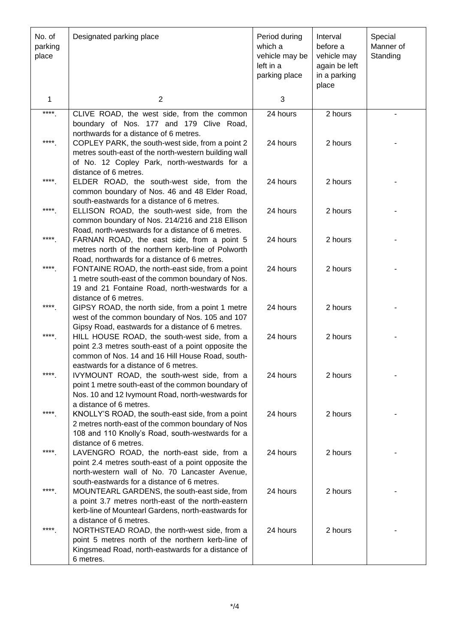| No. of<br>parking<br>place | Designated parking place                                                                                                                                                                                                                                                | Period during<br>which a<br>vehicle may be<br>left in a<br>parking place | Interval<br>before a<br>vehicle may<br>again be left<br>in a parking<br>place | Special<br>Manner of<br>Standing |
|----------------------------|-------------------------------------------------------------------------------------------------------------------------------------------------------------------------------------------------------------------------------------------------------------------------|--------------------------------------------------------------------------|-------------------------------------------------------------------------------|----------------------------------|
| 1                          | 2                                                                                                                                                                                                                                                                       | 3                                                                        |                                                                               |                                  |
| $****$                     | CLIVE ROAD, the west side, from the common                                                                                                                                                                                                                              | 24 hours                                                                 | 2 hours                                                                       |                                  |
| ****                       | boundary of Nos. 177 and 179 Clive Road,<br>northwards for a distance of 6 metres.<br>COPLEY PARK, the south-west side, from a point 2<br>metres south-east of the north-western building wall<br>of No. 12 Copley Park, north-westwards for a<br>distance of 6 metres. | 24 hours                                                                 | 2 hours                                                                       |                                  |
| ****                       | ELDER ROAD, the south-west side, from the<br>common boundary of Nos. 46 and 48 Elder Road,<br>south-eastwards for a distance of 6 metres.                                                                                                                               | 24 hours                                                                 | 2 hours                                                                       |                                  |
| ****                       | ELLISON ROAD, the south-west side, from the<br>common boundary of Nos. 214/216 and 218 Ellison<br>Road, north-westwards for a distance of 6 metres.                                                                                                                     | 24 hours                                                                 | 2 hours                                                                       |                                  |
| ****                       | FARNAN ROAD, the east side, from a point 5<br>metres north of the northern kerb-line of Polworth<br>Road, northwards for a distance of 6 metres.                                                                                                                        | 24 hours                                                                 | 2 hours                                                                       |                                  |
| ****                       | FONTAINE ROAD, the north-east side, from a point<br>1 metre south-east of the common boundary of Nos.<br>19 and 21 Fontaine Road, north-westwards for a                                                                                                                 | 24 hours                                                                 | 2 hours                                                                       |                                  |
| ****                       | distance of 6 metres.<br>GIPSY ROAD, the north side, from a point 1 metre<br>west of the common boundary of Nos. 105 and 107                                                                                                                                            | 24 hours                                                                 | 2 hours                                                                       |                                  |
| ****                       | Gipsy Road, eastwards for a distance of 6 metres.<br>HILL HOUSE ROAD, the south-west side, from a<br>point 2.3 metres south-east of a point opposite the<br>common of Nos. 14 and 16 Hill House Road, south-                                                            | 24 hours                                                                 | 2 hours                                                                       |                                  |
| ****                       | eastwards for a distance of 6 metres.<br>IVYMOUNT ROAD, the south-west side, from a<br>point 1 metre south-east of the common boundary of<br>Nos. 10 and 12 Ivymount Road, north-westwards for                                                                          | 24 hours                                                                 | 2 hours                                                                       |                                  |
| ****                       | a distance of 6 metres.<br>KNOLLY'S ROAD, the south-east side, from a point<br>2 metres north-east of the common boundary of Nos<br>108 and 110 Knolly's Road, south-westwards for a                                                                                    | 24 hours                                                                 | 2 hours                                                                       |                                  |
| ****                       | distance of 6 metres.<br>LAVENGRO ROAD, the north-east side, from a<br>point 2.4 metres south-east of a point opposite the<br>north-western wall of No. 70 Lancaster Avenue,                                                                                            | 24 hours                                                                 | 2 hours                                                                       |                                  |
| ****                       | south-eastwards for a distance of 6 metres.<br>MOUNTEARL GARDENS, the south-east side, from<br>a point 3.7 metres north-east of the north-eastern<br>kerb-line of Mountearl Gardens, north-eastwards for                                                                | 24 hours                                                                 | 2 hours                                                                       |                                  |
| ****                       | a distance of 6 metres.<br>NORTHSTEAD ROAD, the north-west side, from a<br>point 5 metres north of the northern kerb-line of<br>Kingsmead Road, north-eastwards for a distance of<br>6 metres.                                                                          | 24 hours                                                                 | 2 hours                                                                       |                                  |